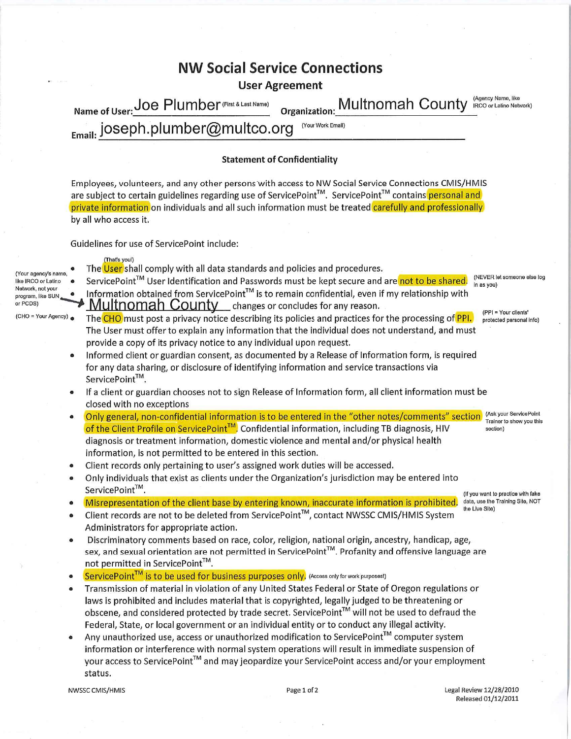|                                                                                                                            | NW Social Service Connections                                                                                                                                                                                                                                                                                                                                                                                                                                                                                                                                                                                                                                                                                                                                                                                                                                                                                                                                                                                                                                                                                    |
|----------------------------------------------------------------------------------------------------------------------------|------------------------------------------------------------------------------------------------------------------------------------------------------------------------------------------------------------------------------------------------------------------------------------------------------------------------------------------------------------------------------------------------------------------------------------------------------------------------------------------------------------------------------------------------------------------------------------------------------------------------------------------------------------------------------------------------------------------------------------------------------------------------------------------------------------------------------------------------------------------------------------------------------------------------------------------------------------------------------------------------------------------------------------------------------------------------------------------------------------------|
|                                                                                                                            | <b>User Agreement</b><br>(Agency Name, like                                                                                                                                                                                                                                                                                                                                                                                                                                                                                                                                                                                                                                                                                                                                                                                                                                                                                                                                                                                                                                                                      |
|                                                                                                                            | Organization: Multnomah County<br>Name of User: Joe Plumber (First & Last Name)<br>IRCO or Latino Network)                                                                                                                                                                                                                                                                                                                                                                                                                                                                                                                                                                                                                                                                                                                                                                                                                                                                                                                                                                                                       |
|                                                                                                                            | Email: joseph.plumber@multco.org<br>(Your Work Email)                                                                                                                                                                                                                                                                                                                                                                                                                                                                                                                                                                                                                                                                                                                                                                                                                                                                                                                                                                                                                                                            |
|                                                                                                                            |                                                                                                                                                                                                                                                                                                                                                                                                                                                                                                                                                                                                                                                                                                                                                                                                                                                                                                                                                                                                                                                                                                                  |
|                                                                                                                            | <b>Statement of Confidentiality</b>                                                                                                                                                                                                                                                                                                                                                                                                                                                                                                                                                                                                                                                                                                                                                                                                                                                                                                                                                                                                                                                                              |
|                                                                                                                            | Employees, volunteers, and any other persons with access to NW Social Service Connections CMIS/HMIS<br>are subject to certain guidelines regarding use of ServicePoint™. ServicePoint™ contains personal and<br>private information on individuals and all such information must be treated carefully and professionally<br>by all who access it.                                                                                                                                                                                                                                                                                                                                                                                                                                                                                                                                                                                                                                                                                                                                                                |
|                                                                                                                            | Guidelines for use of ServicePoint include:                                                                                                                                                                                                                                                                                                                                                                                                                                                                                                                                                                                                                                                                                                                                                                                                                                                                                                                                                                                                                                                                      |
| (Your agency's name,<br>like IRCO or Latino<br>Network, not your<br>program, like SUN<br>or PCDS)<br>(CHO = Your Agency) . | (That's youl)<br>The User shall comply with all data standards and policies and procedures.<br>(NEVER let someone else log<br>ServicePoint™ User Identification and Passwords must be kept secure and are not to be shared.<br>in as you)<br>Information obtained from ServicePoint™ is to remain confidential, even if my relationship with<br><b>Multnomah County</b> changes or concludes for any reason.<br>(PPI = Your clients'<br>The CHO must post a privacy notice describing its policies and practices for the processing of PPI.<br>protected personal info)<br>The User must offer to explain any information that the individual does not understand, and must<br>provide a copy of its privacy notice to any individual upon request.<br>Informed client or guardian consent, as documented by a Release of Information form, is required<br>for any data sharing, or disclosure of identifying information and service transactions via<br>ServicePoint™.<br>If a client or guardian chooses not to sign Release of Information form, all client information must be<br>closed with no exceptions |
|                                                                                                                            | (Ask your ServicePoint<br>Only general, non-confidential information is to be entered in the "other notes/comments" section<br>Trainer to show you this<br>of the Client Profile on ServicePoint <sup>™</sup> , Confidential information, including TB diagnosis, HIV<br>section)<br>diagnosis or treatment information, domestic violence and mental and/or physical health                                                                                                                                                                                                                                                                                                                                                                                                                                                                                                                                                                                                                                                                                                                                     |
|                                                                                                                            | information, is not permitted to be entered in this section.<br>Client records only pertaining to user's assigned work duties will be accessed.                                                                                                                                                                                                                                                                                                                                                                                                                                                                                                                                                                                                                                                                                                                                                                                                                                                                                                                                                                  |
|                                                                                                                            | Only individuals that exist as clients under the Organization's jurisdiction may be entered into<br>$\bullet$                                                                                                                                                                                                                                                                                                                                                                                                                                                                                                                                                                                                                                                                                                                                                                                                                                                                                                                                                                                                    |
|                                                                                                                            | ServicePoint™.<br>(If you want to practice with fake                                                                                                                                                                                                                                                                                                                                                                                                                                                                                                                                                                                                                                                                                                                                                                                                                                                                                                                                                                                                                                                             |
|                                                                                                                            | Misrepresentation of the client base by entering known, inaccurate information is prohibited.<br>data, use the Training Site, NOT<br>the Live Site)<br>Client records are not to be deleted from ServicePoint™, contact NWSSC CMIS/HMIS System<br>٠<br>Administrators for appropriate action.                                                                                                                                                                                                                                                                                                                                                                                                                                                                                                                                                                                                                                                                                                                                                                                                                    |
|                                                                                                                            | Discriminatory comments based on race, color, religion, national origin, ancestry, handicap, age,<br>$\bullet$<br>sex, and sexual orientation are not permitted in ServicePoint™. Profanity and offensive language are                                                                                                                                                                                                                                                                                                                                                                                                                                                                                                                                                                                                                                                                                                                                                                                                                                                                                           |
|                                                                                                                            | not permitted in ServicePoint™.<br>ServicePoint <sup>™</sup> is to be used for business purposes only, (Access only for work purposes!)                                                                                                                                                                                                                                                                                                                                                                                                                                                                                                                                                                                                                                                                                                                                                                                                                                                                                                                                                                          |
|                                                                                                                            | Transmission of material in violation of any United States Federal or State of Oregon regulations or<br>$\bullet$<br>laws is prohibited and includes material that is copyrighted, legally judged to be threatening or                                                                                                                                                                                                                                                                                                                                                                                                                                                                                                                                                                                                                                                                                                                                                                                                                                                                                           |
|                                                                                                                            | can a participated was actively the dependence of $\mathbb{F}^m$ will not be used to defined the                                                                                                                                                                                                                                                                                                                                                                                                                                                                                                                                                                                                                                                                                                                                                                                                                                                                                                                                                                                                                 |

obscene, and considered protected by trade secret. ServicePoint<sup>104</sup> will not be used to defraud the Federal, State, or local government or an individual entity or to conduct any illegal activity. Any unauthorized use, access or unauthorized modification to ServicePoint<sup>™</sup> computer system  $\bullet$ 

information or interference with normal system operations will result in immediate suspension of your access to ServicePoint™ and may jeopardize your ServicePoint access and/or your employment status.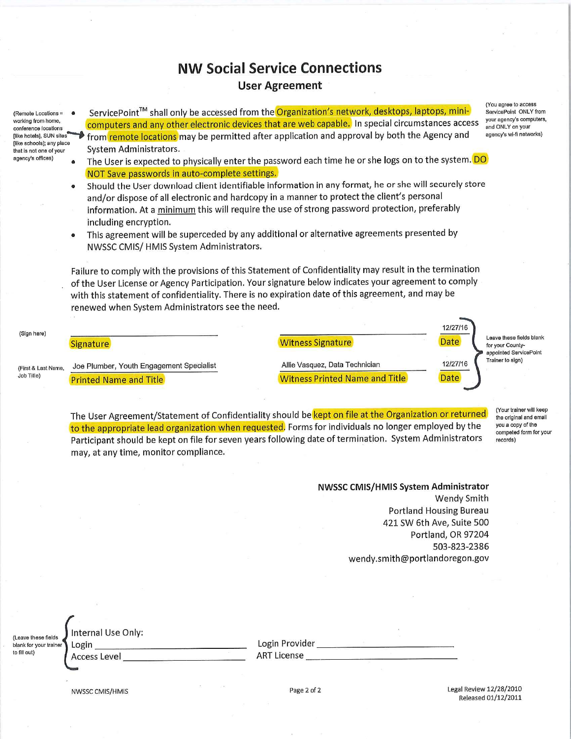## **NW Social Service Connections User Agreement**

- (Remote Locations = working from home, conference locations [like hotels], SUN sites like schools]; any place that is not one of your agency's offices)
- ServicePoint™ shall only be accessed from the Organization's network, desktops, laptops, minicomputers and any other electronic devices that are web capable. In special circumstances access from remote locations may be permitted after application and approval by both the Agency and System Administrators.
	- The User is expected to physically enter the password each time he or she logs on to the system. DO NOT Save passwords in auto-complete settings.
	- Should the User download client identifiable information in any format, he or she will securely store and/or dispose of all electronic and hardcopy in a manner to protect the client's personal information. At a minimum this will require the use of strong password protection, preferably including encryption.
	- This agreement will be superceded by any additional or alternative agreements presented by NWSSC CMIS/HMIS System Administrators.

Failure to comply with the provisions of this Statement of Confidentiality may result in the termination of the User License or Agency Participation. Your signature below indicates your agreement to comply with this statement of confidentiality. There is no expiration date of this agreement, and may be renewed when System Administrators see the need.

12/27/16 (Sign here) Leave these fields blank **Date Signature Witness Signature** for your Countyappointed ServicePoint Trainer to sign) 12/27/16 Allie Vasquez, Data Technician Joe Plumber, Youth Engagement Specialist (First & Last Name, Job Title) **Witness Printed Name and Title** Date **Printed Name and Title** 

The User Agreement/Statement of Confidentiality should be kept on file at the Organization or returned to the appropriate lead organization when requested. Forms for individuals no longer employed by the Participant should be kept on file for seven years following date of termination. System Administrators may, at any time, monitor compliance.

(Your trainer will keep the original and email you a copy of the competed form for your records)

NWSSC CMIS/HMIS System Administrator Wendy Smith **Portland Housing Bureau** 421 SW 6th Ave, Suite 500 Portland, OR 97204 503-823-2386 wendy.smith@portlandoregon.gov

| (Leave these fields    |  |
|------------------------|--|
| blank for your trainer |  |
| to fill out)           |  |

| iternal Use Only: |  |  |
|-------------------|--|--|
|                   |  |  |

Login Access Level Login Provider **Communist Communist Communist Communist Communist Communist Communist Communist Communist Communist Communist Communist Communist Communist Communist Communist Communist Communist Communist Communist Commun ART License** 

NWSSC CMIS/HMIS

Page 2 of 2

Legal Review 12/28/2010 Released 01/12/2011

(You agree to access ServicePoint ONLY from vour agency's computers, and ONLY on your agency's wi-fi networks)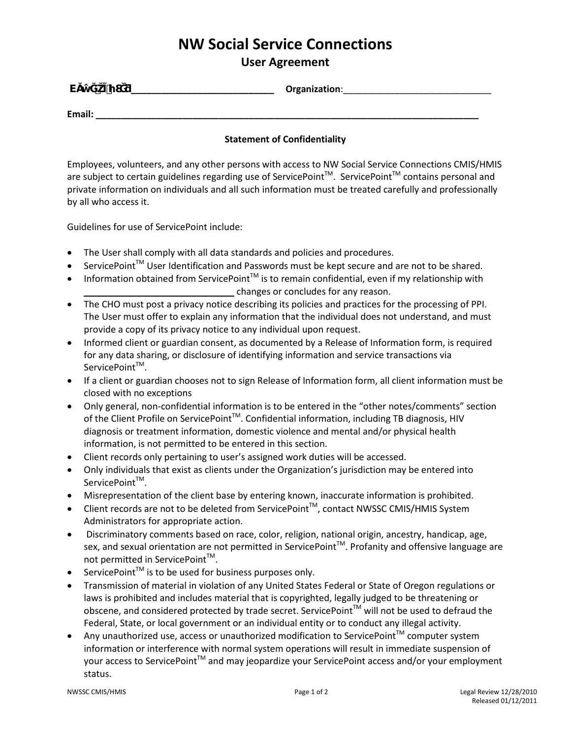# **NW Social Service Connections**

### **User Agreement**

| v      |  | Organization: |
|--------|--|---------------|
| Email: |  |               |

#### **Statement of Confidentiality**

Employees, volunteers, and any other persons with access to NW Social Service Connections CMIS/HMIS are subject to certain guidelines regarding use of ServicePoint™. ServicePoint™ contains personal and private information on individuals and all such information must be treated carefully and professionally by all who access it.

Guidelines for use of ServicePoint include:

- The User shall comply with all data standards and policies and procedures.
- ServicePoint<sup>™</sup> User Identification and Passwords must be kept secure and are not to be shared.
- Information obtained from ServicePoint<sup>™</sup> is to remain confidential, even if my relationship with changes or concludes for any reason.
- The CHO must post a privacy notice describing its policies and practices for the processing of PPI. The User must offer to explain any information that the individual does not understand, and must provide a copy of its privacy notice to any individual upon request.
- Informed client or guardian consent, as documented by a Release of Information form, is required for any data sharing, or disclosure of identifying information and service transactions via ServicePoint™.
- If a client or guardian chooses not to sign Release of Information form, all client information must be closed with no exceptions
- Only general, non-confidential information is to be entered in the "other notes/comments" section of the Client Profile on ServicePoint™. Confidential information, including TB diagnosis, HIV diagnosis or treatment information, domestic violence and mental and/or physical health information, is not permitted to be entered in this section.
- Client records only pertaining to user's assigned work duties will be accessed.
- Only individuals that exist as clients under the Organization's jurisdiction may be entered into ServicePoint™.
- Misrepresentation of the client base by entering known, inaccurate information is prohibited.
- Client records are not to be deleted from ServicePoint<sup>™</sup>, contact NWSSC CMIS/HMIS System Administrators for appropriate action.
- Discriminatory comments based on race, color, religion, national origin, ancestry, handicap, age, sex, and sexual orientation are not permitted in ServicePoint<sup>™</sup>. Profanity and offensive language are not permitted in ServicePoint™.
- ServicePoint™ is to be used for business purposes only.
- Transmission of material in violation of any United States Federal or State of Oregon regulations or laws is prohibited and includes material that is copyrighted, legally judged to be threatening or obscene, and considered protected by trade secret. ServicePoint<sup>™</sup> will not be used to defraud the Federal, State, or local government or an individual entity or to conduct any illegal activity.
- Any unauthorized use, access or unauthorized modification to ServicePoint<sup>™</sup> computer system information or interference with normal system operations will result in immediate suspension of your access to ServicePoint<sup>™</sup> and may jeopardize your ServicePoint access and/or your employment status.